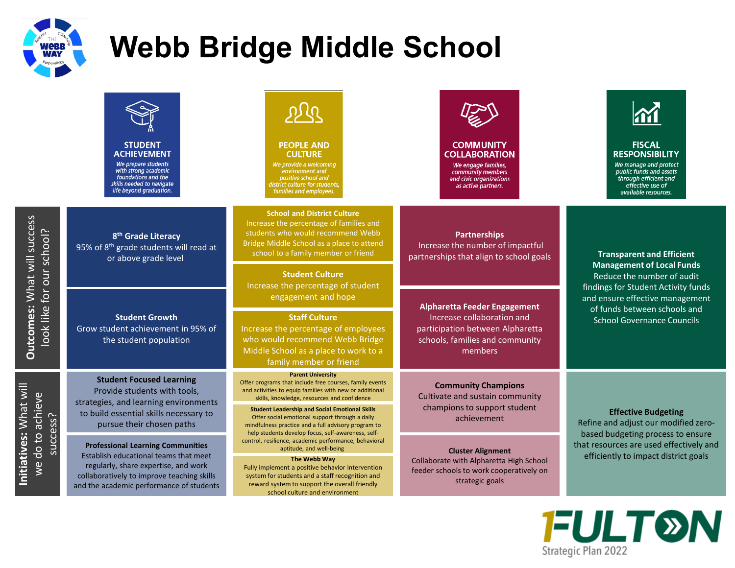

**Outcomes:** What will success

Outcomes: What will success

**Initiatives:** What will we do to achieve

Initiatives: What will

## **Webb Bridge Middle School**

| <b>STUDENT</b><br><b>ACHIEVEMENT</b><br>We prepare students<br>with strong academic<br>foundations and the<br>skills needed to navigate<br>life beyond graduation.                                                                                  | እነ ፊ<br><b>PEOPLE AND</b><br><b>CULTURE</b><br>We provide a welcoming<br>environment and<br>positive school and<br>district culture for students,<br>families and employees.                                                                                                                                                                                    | <b>COMMUNITY</b><br><b>COLLABORATION</b><br>We engage families,<br>community members<br>and civic organizations<br>as active partners.              | <b>FISCAL</b><br><b>RESPONSIBILITY</b><br>We manage and protect<br>public funds and assets<br>through efficient and<br>effective use of<br>available resources.                                                                                   |
|-----------------------------------------------------------------------------------------------------------------------------------------------------------------------------------------------------------------------------------------------------|-----------------------------------------------------------------------------------------------------------------------------------------------------------------------------------------------------------------------------------------------------------------------------------------------------------------------------------------------------------------|-----------------------------------------------------------------------------------------------------------------------------------------------------|---------------------------------------------------------------------------------------------------------------------------------------------------------------------------------------------------------------------------------------------------|
| 8 <sup>th</sup> Grade Literacy<br>95% of 8 <sup>th</sup> grade students will read at<br>or above grade level                                                                                                                                        | <b>School and District Culture</b><br>Increase the percentage of families and<br>students who would recommend Webb<br>Bridge Middle School as a place to attend<br>school to a family member or friend                                                                                                                                                          | <b>Partnerships</b><br>Increase the number of impactful<br>partnerships that align to school goals                                                  | <b>Transparent and Efficient</b><br><b>Management of Local Funds</b><br>Reduce the number of audit<br>findings for Student Activity funds<br>and ensure effective management<br>of funds between schools and<br><b>School Governance Councils</b> |
| for our school?<br>Nollar                                                                                                                                                                                                                           | Increase the percentage of student                                                                                                                                                                                                                                                                                                                              |                                                                                                                                                     |                                                                                                                                                                                                                                                   |
| <b>Student Growth</b><br>Grow student achievement in 95% of<br>the student population                                                                                                                                                               | <b>Staff Culture</b><br>Increase the percentage of employees<br>who would recommend Webb Bridge<br>Middle School as a place to work to a<br>family member or friend                                                                                                                                                                                             | <b>Alpharetta Feeder Engagement</b><br>Increase collaboration and<br>participation between Alpharetta<br>schools, families and community<br>members |                                                                                                                                                                                                                                                   |
| <b>Student Focused Learning</b><br>Provide students with tools,<br>strategies, and learning environments<br>to build essential skills necessary to<br>pursue their chosen paths                                                                     | <b>Parent University</b><br>Offer programs that include free courses, family events<br>and activities to equip families with new or additional<br>skills, knowledge, resources and confidence<br><b>Student Leadership and Social Emotional Skills</b><br>Offer social emotional support through a daily<br>mindfulness practice and a full advisory program to | <b>Community Champions</b><br>Cultivate and sustain community<br>champions to support student<br>achievement                                        | <b>Effective Budgeting</b><br>Refine and adjust our modified zero-<br>based budgeting process to ensure<br>that resources are used effectively and<br>efficiently to impact district goals                                                        |
| we do to achieve<br>success?<br><b>Professional Learning Communities</b><br>Establish educational teams that meet<br>regularly, share expertise, and work<br>collaboratively to improve teaching skills<br>and the academic performance of students | help students develop focus, self-awareness, self-<br>control, resilience, academic performance, behavioral<br>aptitude, and well-being<br>The Webb Way<br>Fully implement a positive behavior intervention<br>system for students and a staff recognition and<br>reward system to support the overall friendly<br>school culture and environment               | <b>Cluster Alignment</b><br>Collaborate with Alpharetta High School<br>feeder schools to work cooperatively on<br>strategic goals                   |                                                                                                                                                                                                                                                   |
|                                                                                                                                                                                                                                                     |                                                                                                                                                                                                                                                                                                                                                                 | <b>Student Culture</b><br>engagement and hope                                                                                                       |                                                                                                                                                                                                                                                   |

Strategic Plan 2022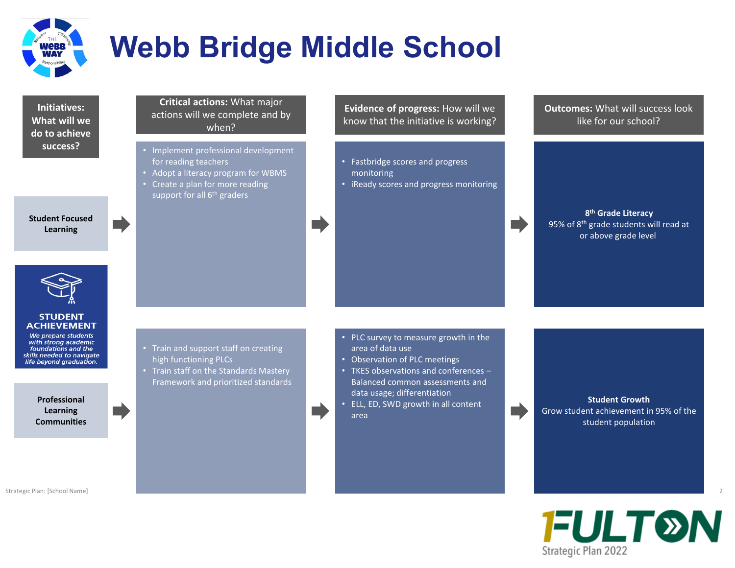

g d

**Initiatives: What will we do to achieve success?**

**Student Focused Learning**



#### **STUDENT ACHIEVEMENT**

We prepare students with strong academic foundations and the<br>skills needed to navigate life beyond graduation.

> **Professional Learning Communities**

Strategic Plan: [School Name] 2

### **Critical actions:** What major actions will we complete and by when?

- Implement professional development for reading teachers
- Adopt a literacy program for WBMS
- Create a plan for more reading support for all 6<sup>th</sup> graders

• Train and support staff on creating high functioning PLCs

• Train staff on the Standards Mastery Framework and prioritized standards **Evidence of progress:** How will we know that the initiative is working?

- Fastbridge scores and progress monitoring
- iReady scores and progress monitoring

**Outcomes:** What will success look like for our school?

**8th Grade Literacy** 95% of 8<sup>th</sup> grade students will read at or above grade level

- PLC survey to measure growth in the area of data use
- Observation of PLC meetings
- TKES observations and conferences Balanced common assessments and data usage; differentiation
- ELL, ED, SWD growth in all content area

**Student Growth** Grow student achievement in 95% of the student population

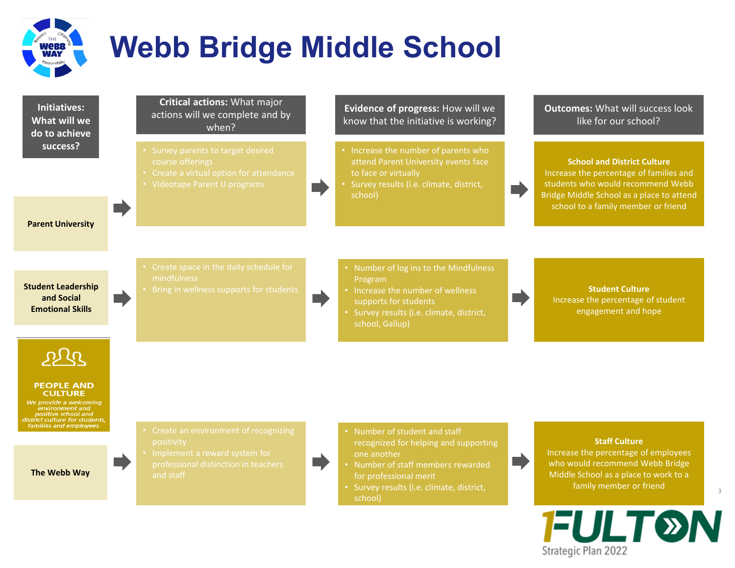

**Initiatives: What will we do to achieve success?**

### **Critical actions:** What major actions will we complete and by when?

- 
- 
- 

### **Parent University**

**Student Leadership and Social Emotional Skills**

- 
- 

## **Evidence of progress:** How will we know that the initiative is working?

- Increase the number of parents who attend Parent University events face to face or virtually
- Survey results (i.e. climate, district, school)

**Outcomes:** What will success look like for our school?

**School and District Culture** Increase the percentage of families and students who would recommend Webb Bridge Middle School as a place to attend school to a family member or friend

- Number of log ins to the Mindfulness Program
- Increase the number of wellness supports for students
- Survey results (i.e. climate, district, school, Gallup)

**Student Culture** Increase the percentage of student engagement and hope

ala

#### **PEOPLE AND CULTURE**

We provide a welcoming environment and positive school and listrict culture for students, families and employees.

**The Webb Way**

- 
- 
- 
- Number of student and staff recognized for helping and supporting one another
- Number of staff members rewarded for professional merit

H

• Survey results (i.e. climate, district, school)

### **Staff Culture**

Increase the percentage of employees who would recommend Webb Bridge Middle School as a place to work to a family member or friend



3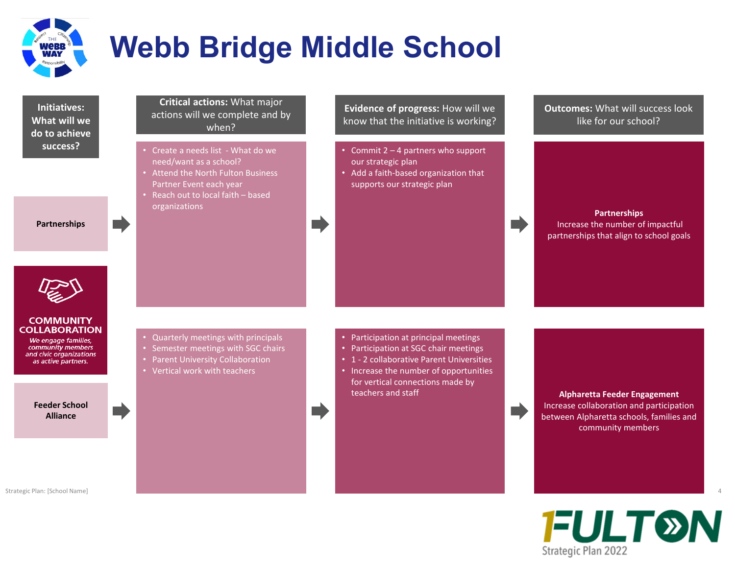

F

**Initiatives: What will we do to achieve success?**

**Partnerships**

**Critical actions:** What major actions will we complete and by when?

- Create a needs list What do we need/want as a school?
- Attend the North Fulton Business Partner Event each year
- Reach out to local faith based organizations

**Evidence of progress:** How will we know that the initiative is working?

- Commit 2 4 partners who support our strategic plan
- Add a faith-based organization that supports our strategic plan

**Outcomes:** What will success look like for our school?

**Partnerships** Increase the number of impactful partnerships that align to school goals



### **COMMUNITY COLLABORATION**

We engage families, community members and civic organizations as active partners.

> **Feeder School Alliance**

• Quarterly meetings with principals

- Semester meetings with SGC chairs
- Parent University Collaboration
- Vertical work with teachers
- Participation at principal meetings
- Participation at SGC chair meetings
- 1 2 collaborative Parent Universities
- Increase the number of opportunities for vertical connections made by teachers and staff **Alpharetta Feeder Engagement**

Increase collaboration and participation between Alpharetta schools, families and community members



Strategic Plan: [School Name] 4